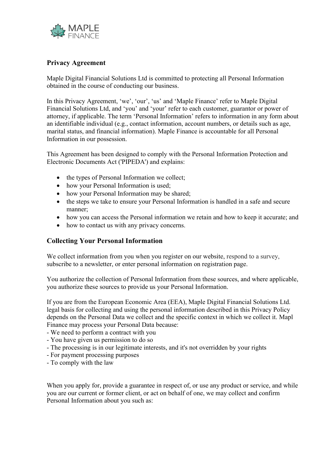

## **Privacy Agreement**

Maple Digital Financial Solutions Ltd is committed to protecting all Personal Information obtained in the course of conducting our business.

In this Privacy Agreement, 'we', 'our', 'us' and 'Maple Finance' refer to Maple Digital Financial Solutions Ltd, and 'you' and 'your' refer to each customer, guarantor or power of attorney, if applicable. The term 'Personal Information' refers to information in any form about an identifiable individual (e.g., contact information, account numbers, or details such as age, marital status, and financial information). Maple Finance is accountable for all Personal Information in our possession.

This Agreement has been designed to comply with the Personal Information Protection and Electronic Documents Act ('PIPEDA') and explains:

- the types of Personal Information we collect;
- how your Personal Information is used;
- how your Personal Information may be shared;
- the steps we take to ensure your Personal Information is handled in a safe and secure manner;
- how you can access the Personal information we retain and how to keep it accurate; and
- how to contact us with any privacy concerns.

### **Collecting Your Personal Information**

We collect information from you when you register on our website, respond to a survey, subscribe to a newsletter, or enter personal information on registration page.

You authorize the collection of Personal Information from these sources, and where applicable, you authorize these sources to provide us your Personal Information.

If you are from the European Economic Area (EEA), Maple Digital Financial Solutions Ltd. legal basis for collecting and using the personal information described in this Privacy Policy depends on the Personal Data we collect and the specific context in which we collect it. Mapl Finance may process your Personal Data because:

- We need to perform a contract with you
- You have given us permission to do so
- The processing is in our legitimate interests, and it's not overridden by your rights
- For payment processing purposes
- To comply with the law

When you apply for, provide a guarantee in respect of, or use any product or service, and while you are our current or former client, or act on behalf of one, we may collect and confirm Personal Information about you such as: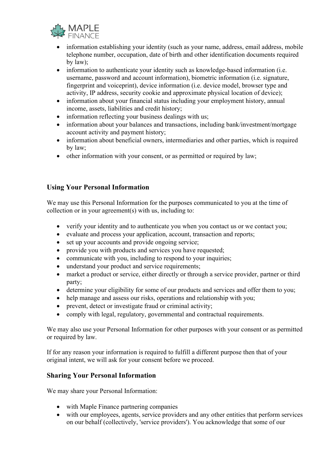

- information establishing your identity (such as your name, address, email address, mobile telephone number, occupation, date of birth and other identification documents required by law);
- information to authenticate your identity such as knowledge-based information (i.e. username, password and account information), biometric information (i.e. signature, fingerprint and voiceprint), device information (i.e. device model, browser type and activity, IP address, security cookie and approximate physical location of device);
- information about your financial status including your employment history, annual income, assets, liabilities and credit history;
- information reflecting your business dealings with us;
- information about your balances and transactions, including bank/investment/mortgage account activity and payment history;
- information about beneficial owners, intermediaries and other parties, which is required by law;
- other information with your consent, or as permitted or required by law;

## **Using Your Personal Information**

We may use this Personal Information for the purposes communicated to you at the time of collection or in your agreement(s) with us, including to:

- verify your identity and to authenticate you when you contact us or we contact you;
- evaluate and process your application, account, transaction and reports;
- set up your accounts and provide ongoing service;
- provide you with products and services you have requested;
- communicate with you, including to respond to your inquiries;
- understand your product and service requirements;
- market a product or service, either directly or through a service provider, partner or third party;
- determine your eligibility for some of our products and services and offer them to you;
- help manage and assess our risks, operations and relationship with you;
- prevent, detect or investigate fraud or criminal activity;
- comply with legal, regulatory, governmental and contractual requirements.

We may also use your Personal Information for other purposes with your consent or as permitted or required by law.

If for any reason your information is required to fulfill a different purpose then that of your original intent, we will ask for your consent before we proceed.

### **Sharing Your Personal Information**

We may share your Personal Information:

- with Maple Finance partnering companies
- with our employees, agents, service providers and any other entities that perform services on our behalf (collectively, 'service providers'). You acknowledge that some of our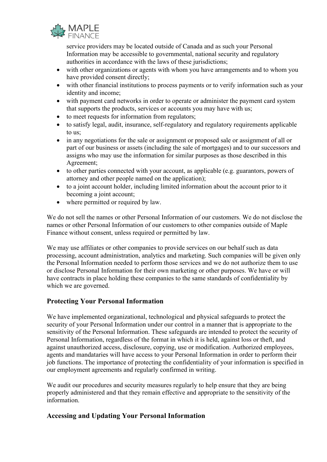

service providers may be located outside of Canada and as such your Personal Information may be accessible to governmental, national security and regulatory authorities in accordance with the laws of these jurisdictions;

- with other organizations or agents with whom you have arrangements and to whom you have provided consent directly;
- with other financial institutions to process payments or to verify information such as your identity and income;
- with payment card networks in order to operate or administer the payment card system that supports the products, services or accounts you may have with us;
- to meet requests for information from regulators;
- to satisfy legal, audit, insurance, self-regulatory and regulatory requirements applicable to us;
- in any negotiations for the sale or assignment or proposed sale or assignment of all or part of our business or assets (including the sale of mortgages) and to our successors and assigns who may use the information for similar purposes as those described in this Agreement;
- to other parties connected with your account, as applicable (e.g. guarantors, powers of attorney and other people named on the application);
- to a joint account holder, including limited information about the account prior to it becoming a joint account;
- where permitted or required by law.

We do not sell the names or other Personal Information of our customers. We do not disclose the names or other Personal Information of our customers to other companies outside of Maple Finance without consent, unless required or permitted by law.

We may use affiliates or other companies to provide services on our behalf such as data processing, account administration, analytics and marketing. Such companies will be given only the Personal Information needed to perform those services and we do not authorize them to use or disclose Personal Information for their own marketing or other purposes. We have or will have contracts in place holding these companies to the same standards of confidentiality by which we are governed.

# **Protecting Your Personal Information**

We have implemented organizational, technological and physical safeguards to protect the security of your Personal Information under our control in a manner that is appropriate to the sensitivity of the Personal Information. These safeguards are intended to protect the security of Personal Information, regardless of the format in which it is held, against loss or theft, and against unauthorized access, disclosure, copying, use or modification. Authorized employees, agents and mandataries will have access to your Personal Information in order to perform their job functions. The importance of protecting the confidentiality of your information is specified in our employment agreements and regularly confirmed in writing.

We audit our procedures and security measures regularly to help ensure that they are being properly administered and that they remain effective and appropriate to the sensitivity of the information.

# **Accessing and Updating Your Personal Information**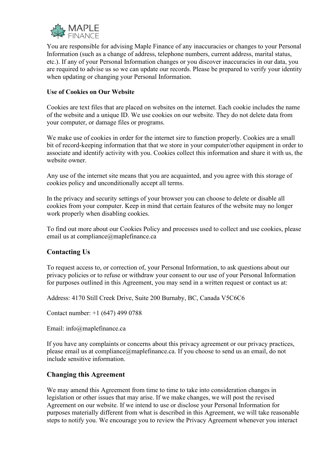

You are responsible for advising Maple Finance of any inaccuracies or changes to your Personal Information (such as a change of address, telephone numbers, current address, marital status, etc.). If any of your Personal Information changes or you discover inaccuracies in our data, you are required to advise us so we can update our records. Please be prepared to verify your identity when updating or changing your Personal Information.

#### **Use of Cookies on Our Website**

Cookies are text files that are placed on websites on the internet. Each cookie includes the name of the website and a unique ID. We use cookies on our website. They do not delete data from your computer, or damage files or programs.

We make use of cookies in order for the internet sire to function properly. Cookies are a small bit of record-keeping information that that we store in your computer/other equipment in order to associate and identify activity with you. Cookies collect this information and share it with us, the website owner.

Any use of the internet site means that you are acquainted, and you agree with this storage of cookies policy and unconditionally accept all terms.

In the privacy and security settings of your browser you can choose to delete or disable all cookies from your computer. Keep in mind that certain features of the website may no longer work properly when disabling cookies.

To find out more about our Cookies Policy and processes used to collect and use cookies, please email us at compliance@maplefinance.ca

# **Contacting Us**

To request access to, or correction of, your Personal Information, to ask questions about our privacy policies or to refuse or withdraw your consent to our use of your Personal Information for purposes outlined in this Agreement, you may send in a written request or contact us at:

Address: 4170 Still Creek Drive, Suite 200 Burnaby, BC, Canada V5C6C6

Contact number: +1 (647) 499 0788

Email: info@maplefinance.ca

If you have any complaints or concerns about this privacy agreement or our privacy practices, please email us at compliance@maplefinance.ca. If you choose to send us an email, do not include sensitive information.

### **Changing this Agreement**

We may amend this Agreement from time to time to take into consideration changes in legislation or other issues that may arise. If we make changes, we will post the revised Agreement on our website. If we intend to use or disclose your Personal Information for purposes materially different from what is described in this Agreement, we will take reasonable steps to notify you. We encourage you to review the Privacy Agreement whenever you interact